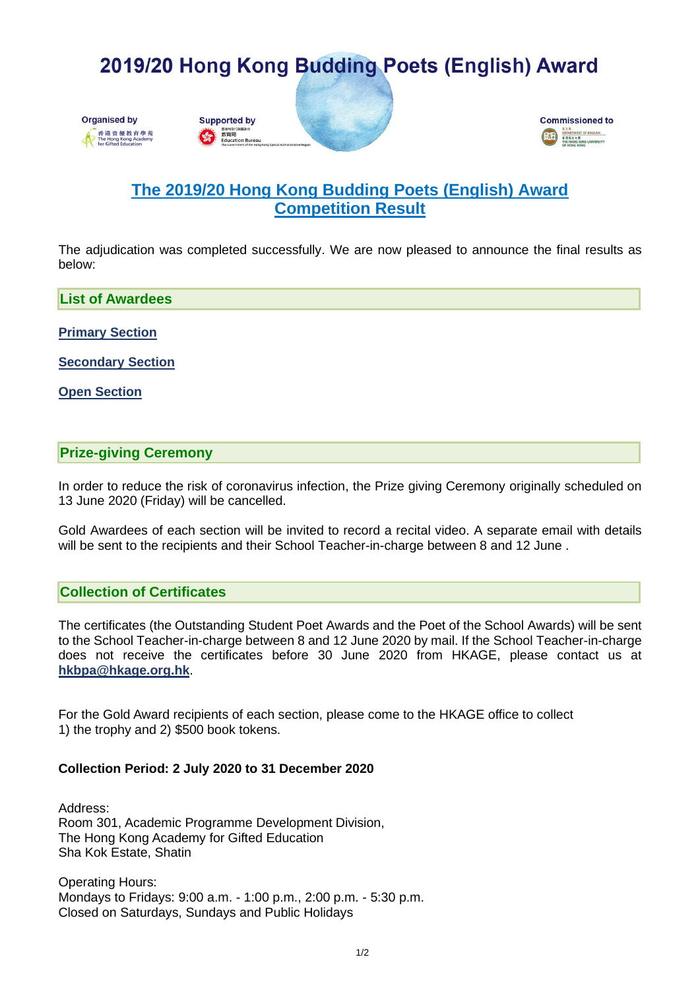# 2019/20 Hong Kong Budding Poets (English) Award









## **The 2019/20 Hong Kong Budding Poets (English) Award Competition Result**

The adjudication was completed successfully. We are now pleased to announce the final results as below:

**List of Awardees**

**[Primary Section](https://www.hkage.org.hk/file/competitions/5430/HKBPA_Awardees_Primary_v3.pdf)**

**[Secondary Section](https://www.hkage.org.hk/file/competitions/5430/HKBPA_Awardees_Secondary_v2.pdf)**

**[Open Section](https://www.hkage.org.hk/file/competitions/5430/HKBPA_Awardees_Open_v2.pdf)**

#### **Prize-giving Ceremony**

In order to reduce the risk of coronavirus infection, the Prize giving Ceremony originally scheduled on 13 June 2020 (Friday) will be cancelled.

Gold Awardees of each section will be invited to record a recital video. A separate email with details will be sent to the recipients and their School Teacher-in-charge between 8 and 12 June .

#### **Collection of Certificates**

The certificates (the Outstanding Student Poet Awards and the Poet of the School Awards) will be sent to the School Teacher-in-charge between 8 and 12 June 2020 by mail. If the School Teacher-in-charge does not receive the certificates before 30 June 2020 from HKAGE, please contact us at **[hkbpa@hkage.org.hk](mailto:hkbpa@hkage.org.hk)**.

For the Gold Award recipients of each section, please come to the HKAGE office to collect 1) the trophy and 2) \$500 book tokens.

#### **Collection Period: 2 July 2020 to 31 December 2020**

Address: Room 301, Academic Programme Development Division, The Hong Kong Academy for Gifted Education Sha Kok Estate, Shatin

Operating Hours: Mondays to Fridays: 9:00 a.m. - 1:00 p.m., 2:00 p.m. - 5:30 p.m. Closed on Saturdays, Sundays and Public Holidays